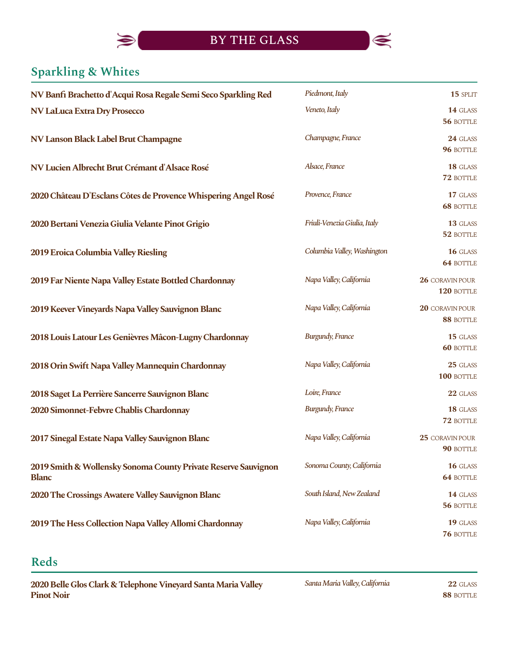

# **Sparkling & Whites**

 $\blacktriangleright$ 

| NV Banfi Brachetto d'Acqui Rosa Regale Semi Seco Sparkling Red                 | Piedmont, Italy              | 15 SPLIT                      |
|--------------------------------------------------------------------------------|------------------------------|-------------------------------|
| <b>NV LaLuca Extra Dry Prosecco</b>                                            | Veneto, Italy                | 14 GLASS<br>56 BOTTLE         |
| NV Lanson Black Label Brut Champagne                                           | Champagne, France            | 24 GLASS<br>96 BOTTLE         |
| NV Lucien Albrecht Brut Crémant d'Alsace Rosé                                  | Alsace, France               | 18 GLASS<br>72 BOTTLE         |
| 2020 Château D'Esclans Côtes de Provence Whispering Angel Rosé                 | Provence, France             | 17 GLASS<br><b>68 BOTTLE</b>  |
| 2020 Bertani Venezia Giulia Velante Pinot Grigio                               | Friuli-Venezia Giulia, Italy | 13 GLASS<br>52 BOTTLE         |
| 2019 Eroica Columbia Valley Riesling                                           | Columbia Valley, Washington  | 16 GLASS<br>64 BOTTLE         |
| 2019 Far Niente Napa Valley Estate Bottled Chardonnay                          | Napa Valley, California      | 26 CORAVIN POUR<br>120 BOTTLE |
| 2019 Keever Vineyards Napa Valley Sauvignon Blanc                              | Napa Valley, California      | 20 CORAVIN POUR<br>88 BOTTLE  |
| 2018 Louis Latour Les Genièvres Mâcon-Lugny Chardonnay                         | <b>Burgundy, France</b>      | 15 GLASS<br><b>60 BOTTLE</b>  |
| 2018 Orin Swift Napa Valley Mannequin Chardonnay                               | Napa Valley, California      | 25 GLASS<br>100 BOTTLE        |
| 2018 Saget La Perrière Sancerre Sauvignon Blanc                                | Loire, France                | 22 GLASS                      |
| 2020 Simonnet-Febvre Chablis Chardonnay                                        | <b>Burgundy, France</b>      | 18 GLASS<br>72 BOTTLE         |
| 2017 Sinegal Estate Napa Valley Sauvignon Blanc                                | Napa Valley, California      | 25 CORAVIN POUR<br>90 BOTTLE  |
| 2019 Smith & Wollensky Sonoma County Private Reserve Sauvignon<br><b>Blanc</b> | Sonoma County, California    | 16 GLASS<br><b>64 BOTTLE</b>  |
| 2020 The Crossings Awatere Valley Sauvignon Blanc                              | South Island, New Zealand    | 14 GLASS<br>56 BOTTLE         |
| 2019 The Hess Collection Napa Valley Allomi Chardonnay                         | Napa Valley, California      | 19 GLASS<br>76 BOTTLE         |

# **Reds**

2020 Belle Glos Clark & Telephone Vineyard Santa Maria Valley **Pinot Noir** 

*SantaMariaValley,California*

**22** GLASS **88** BOTTLE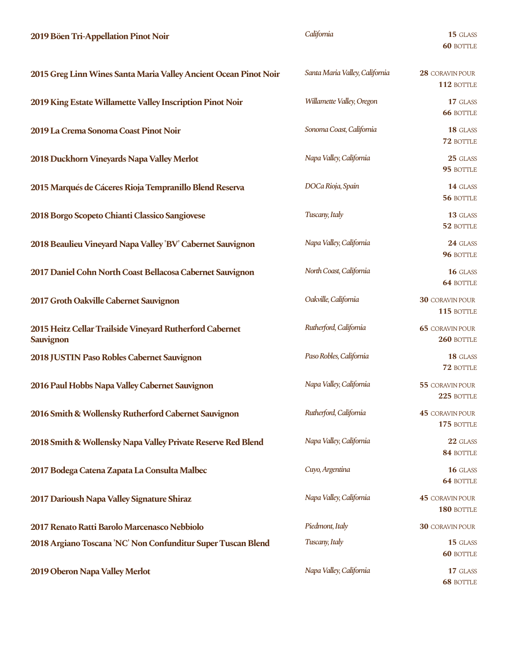#### **2019 Böen Tri-Appellation Pinot Noir 15** GLASS

|  | California |
|--|------------|
|  |            |

**60** BOTTLE

| 2015 Greg Linn Wines Santa Maria Valley Ancient Ocean Pinot Noir      | Santa Maria Valley, California | 28 CORAVIN POUR<br>112 BOTTLE        |
|-----------------------------------------------------------------------|--------------------------------|--------------------------------------|
| 2019 King Estate Willamette Valley Inscription Pinot Noir             | Willamette Valley, Oregon      | 17 GLASS<br><b>66 BOTTLE</b>         |
| 2019 La Crema Sonoma Coast Pinot Noir                                 | Sonoma Coast, California       | 18 GLASS<br>72 BOTTLE                |
| 2018 Duckhorn Vineyards Napa Valley Merlot                            | Napa Valley, California        | 25 GLASS<br>95 BOTTLE                |
| 2015 Marqués de Cáceres Rioja Tempranillo Blend Reserva               | DOCa Rioja, Spain              | 14 GLASS<br>56 BOTTLE                |
| 2018 Borgo Scopeto Chianti Classico Sangiovese                        | Tuscany, Italy                 | 13 GLASS<br>52 BOTTLE                |
| 2018 Beaulieu Vineyard Napa Valley 'BV' Cabernet Sauvignon            | Napa Valley, California        | 24 GLASS<br>96 BOTTLE                |
| 2017 Daniel Cohn North Coast Bellacosa Cabernet Sauvignon             | North Coast, California        | 16 GLASS<br><b>64 BOTTLE</b>         |
| 2017 Groth Oakville Cabernet Sauvignon                                | Oakville, California           | <b>30 CORAVIN POUR</b><br>115 BOTTLE |
| 2015 Heitz Cellar Trailside Vineyard Rutherford Cabernet<br>Sauvignon | Rutherford, California         | <b>65 CORAVIN POUR</b><br>260 BOTTLE |
| 2018 JUSTIN Paso Robles Cabernet Sauvignon                            | Paso Robles, California        | 18 GLASS<br>72 BOTTLE                |
| 2016 Paul Hobbs Napa Valley Cabernet Sauvignon                        | Napa Valley, California        | 55 CORAVIN POUR<br>225 BOTTLE        |
| 2016 Smith & Wollensky Rutherford Cabernet Sauvignon                  | Rutherford, California         | 45 CORAVIN POUR<br>175 BOTTLE        |
| 2018 Smith & Wollensky Napa Valley Private Reserve Red Blend          | Napa Valley, California        | 22 GLASS<br>84 BOTTLE                |
| 2017 Bodega Catena Zapata La Consulta Malbec                          | Cuyo, Argentina                | 16 GLASS<br><b>64 BOTTLE</b>         |
| 2017 Darioush Napa Valley Signature Shiraz                            | Napa Valley, California        | <b>45 CORAVIN POUR</b><br>180 BOTTLE |
| 2017 Renato Ratti Barolo Marcenasco Nebbiolo                          | Piedmont, Italy                | <b>30 CORAVIN POUR</b>               |
| 2018 Argiano Toscana 'NC' Non Confunditur Super Tuscan Blend          | Tuscany, Italy                 | 15 GLASS<br><b>60 BOTTLE</b>         |
| 2019 Oberon Napa Valley Merlot                                        | Napa Valley, California        | 17 GLASS<br><b>68 BOTTLE</b>         |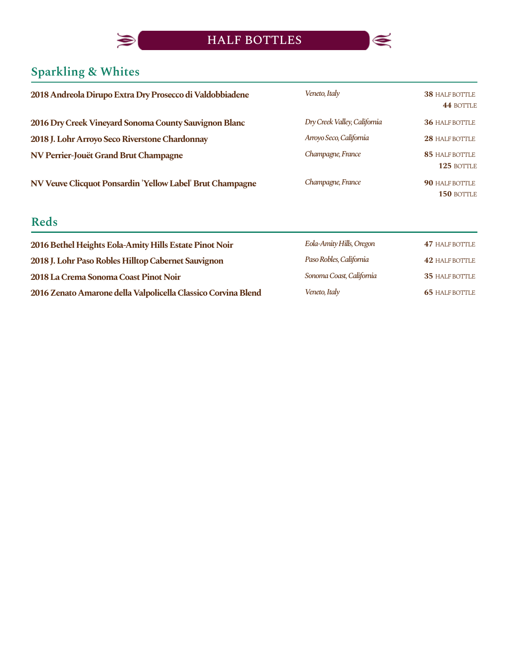

# **Sparkling & Whites**

 $\blacktriangleright$ 

| 2018 Andreola Dirupo Extra Dry Prosecco di Valdobbiadene  | Veneto, Italy                | <b>38 HALF BOTTLE</b><br>44 BOTTLE  |
|-----------------------------------------------------------|------------------------------|-------------------------------------|
| 2016 Dry Creek Vineyard Sonoma County Sauvignon Blanc     | Dry Creek Valley, California | <b>36 HALF BOTTLE</b>               |
| 2018 J. Lohr Arroyo Seco Riverstone Chardonnay            | Arroyo Seco, California      | 28 HALF BOTTLE                      |
| NV Perrier-Jouët Grand Brut Champagne                     | Champagne, France            | <b>85 HALF BOTTLE</b><br>125 BOTTLE |
| NV Veuve Clicquot Ponsardin 'Yellow Label' Brut Champagne | Champagne, France            | 90 HALF BOTTLE<br>150 BOTTLE        |
| <b>Reds</b>                                               |                              |                                     |

| 2016 Bethel Heights Eola-Amity Hills Estate Pinot Noir        | Eola-Amity Hills, Oregon | <b>47 HALF BOTTLE</b> |
|---------------------------------------------------------------|--------------------------|-----------------------|
| 2018 J. Lohr Paso Robles Hilltop Cabernet Sauvignon           | Paso Robles, California  | <b>42 HALF BOTTLE</b> |
| 2018 La Crema Sonoma Coast Pinot Noir                         | Sonoma Coast, California | <b>35 HALF BOTTLE</b> |
| 2016 Zenato Amarone della Valpolicella Classico Corvina Blend | Veneto, Italy            | <b>65 HALF BOTTLE</b> |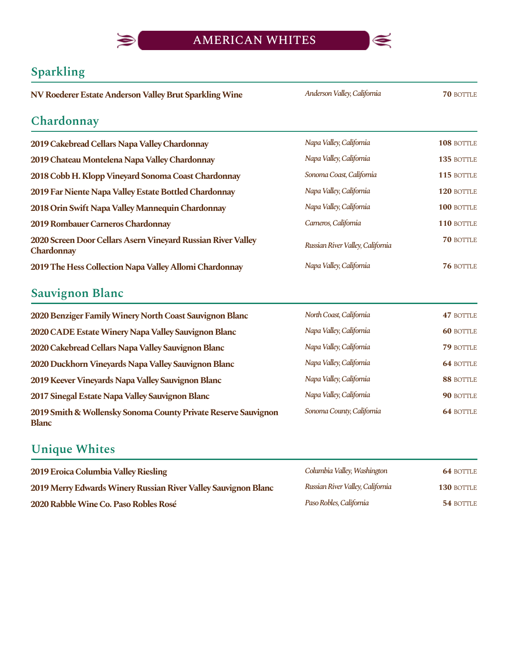

*AndersonValley,California*

### **Sparkling**

**NV Roederer Estate Anderson Valley Brut Sparkling Wine** *Anderson Valley, California* **70 BOTTLE** 

#### **Chardonnay**

**2019 Cakebread Cellars Napa Valley Chardonnay 2019 Chateau Montelena Napa Valley Chardonnay** 2018 Cobb H. Klopp Vineyard Sonoma Coast Chardonnay **2019 Far Niente Napa Valley Estate Bottled Chardonnay 2018 Orin Swift Napa Valley Mannequin Chardonnay 2019 Rombauer Carneros Chardonnay 2020 Screen Door Cellars Asern Vineyard Russian River Valley Chardonnay 2019 The Hess Collection Napa Valley Allomi Chardonnay** *Napa Valley, California* **76 BOTTL** 

#### **Sauvignon Blanc**

**2020 Benziger Family Winery North Coast Sauvignon Blanc 2020 CADE Estate Winery Napa Valley Sauvignon Blanc 2020 Cakebread Cellars Napa Valley Sauvignon Blanc 2020 Duckhorn Vineyards Napa Valley Sauvignon Blanc 2019 Keever Vineyards Napa Valley Sauvignon Blanc 2017 Sinegal Estate Napa Valley Sauvignon Blanc 2019Smith&WollenskySonomaCountyPrivateReserveSauvignon Blanc** *NorthCoast,California NapaValley,California NapaValley,California NapaValley,California NapaValley,California NapaValley,California SonomaCounty,California*

#### **Unique Whites**

| 2019 Eroica Columbia Valley Riesling                           | Columbia Valley, Washington      | <b>64 BOTTLE</b> |
|----------------------------------------------------------------|----------------------------------|------------------|
| 2019 Merry Edwards Winery Russian River Valley Sauvignon Blanc | Russian River Valley, California | 130 BOTTLE       |
| 2020 Rabble Wine Co. Paso Robles Rosé                          | Paso Robles, California          | 54 BOTTLE        |

| Napa Valley, California          | <b>108 BOTTLE</b> |
|----------------------------------|-------------------|
| Napa Valley, California          | <b>135 BOTTLE</b> |
| Sonoma Coast, California         | <b>115 BOTTLE</b> |
| Napa Valley, California          | $120$ BOTTLE      |
| Napa Valley, California          | $100$ bottle      |
| Carneros, California             | 110 BOTTLE        |
| Russian River Valley, California | $70$ bottle       |
| Napa Valley, California          | <b>76 BOTTLE</b>  |

| North Coast, California   | 47 BOTTLE        |
|---------------------------|------------------|
| Napa Valley, California   | <b>60 BOTTLE</b> |
| Napa Valley, California   | <b>79 BOTTLE</b> |
| Napa Valley, California   | <b>64 BOTTLE</b> |
| Napa Valley, California   | 88 BOTTLE        |
| Napa Valley, California   | <b>90 BOTTLE</b> |
| Sonoma County, California | 64 BOTTLE        |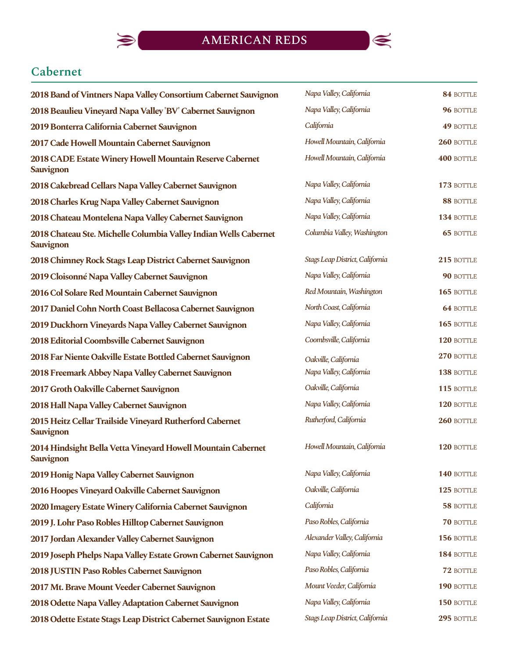

### **Cabernet**

 $\blacktriangleright$ 

| 2018 Band of Vintners Napa Valley Consortium Cabernet Sauvignon                      | Napa Valley, California         | 84 BOTTLE        |
|--------------------------------------------------------------------------------------|---------------------------------|------------------|
| 2018 Beaulieu Vineyard Napa Valley 'BV' Cabernet Sauvignon                           | Napa Valley, California         | 96 BOTTLE        |
| 2019 Bonterra California Cabernet Sauvignon                                          | California                      | 49 BOTTLE        |
| 2017 Cade Howell Mountain Cabernet Sauvignon                                         | Howell Mountain, California     | 260 BOTTLE       |
| 2018 CADE Estate Winery Howell Mountain Reserve Cabernet<br><b>Sauvignon</b>         | Howell Mountain, California     | 400 BOTTLE       |
| 2018 Cakebread Cellars Napa Valley Cabernet Sauvignon                                | Napa Valley, California         | 173 BOTTLE       |
| 2018 Charles Krug Napa Valley Cabernet Sauvignon                                     | Napa Valley, California         | 88 BOTTLE        |
| 2018 Chateau Montelena Napa Valley Cabernet Sauvignon                                | Napa Valley, California         | 134 BOTTLE       |
| 2018 Chateau Ste. Michelle Columbia Valley Indian Wells Cabernet<br><b>Sauvignon</b> | Columbia Valley, Washington     | <b>65 BOTTLE</b> |
| 2018 Chimney Rock Stags Leap District Cabernet Sauvignon                             | Stags Leap District, California | 215 BOTTLE       |
| 2019 Cloisonné Napa Valley Cabernet Sauvignon                                        | Napa Valley, California         | 90 BOTTLE        |
| 2016 Col Solare Red Mountain Cabernet Sauvignon                                      | Red Mountain, Washington        | 165 BOTTLE       |
| 2017 Daniel Cohn North Coast Bellacosa Cabernet Sauvignon                            | North Coast, California         | 64 BOTTLE        |
| 2019 Duckhorn Vineyards Napa Valley Cabernet Sauvignon                               | Napa Valley, California         | 165 BOTTLE       |
| 2018 Editorial Coombsville Cabernet Sauvignon                                        | Coombsville, California         | 120 BOTTLE       |
| 2018 Far Niente Oakville Estate Bottled Cabernet Sauvignon                           | Oakville, California            | 270 BOTTLE       |
| 2018 Freemark Abbey Napa Valley Cabernet Sauvignon                                   | Napa Valley, California         | 138 BOTTLE       |
| 2017 Groth Oakville Cabernet Sauvignon                                               | Oakville, California            | 115 BOTTLE       |
| 2018 Hall Napa Valley Cabernet Sauvignon                                             | Napa Valley, California         | 120 BOTTLE       |
| 2015 Heitz Cellar Trailside Vineyard Rutherford Cabernet<br>Sauvignon                | Rutherford, California          | 260 BOTTLE       |
| 2014 Hindsight Bella Vetta Vineyard Howell Mountain Cabernet<br><b>Sauvignon</b>     | Howell Mountain, California     | 120 BOTTLE       |
| 2019 Honig Napa Valley Cabernet Sauvignon                                            | Napa Valley, California         | 140 BOTTLE       |
| 2016 Hoopes Vineyard Oakville Cabernet Sauvignon                                     | Oakville, California            | 125 BOTTLE       |
| 2020 Imagery Estate Winery California Cabernet Sauvignon                             | California                      | 58 BOTTLE        |
| 2019 J. Lohr Paso Robles Hilltop Cabernet Sauvignon                                  | Paso Robles, California         | <b>70 BOTTLE</b> |
| 2017 Jordan Alexander Valley Cabernet Sauvignon                                      | Alexander Valley, California    | 156 BOTTLE       |
| 2019 Joseph Phelps Napa Valley Estate Grown Cabernet Sauvignon                       | Napa Valley, California         | 184 BOTTLE       |
| 2018 JUSTIN Paso Robles Cabernet Sauvignon                                           | Paso Robles, California         | 72 BOTTLE        |
| 2017 Mt. Brave Mount Veeder Cabernet Sauvignon                                       | Mount Veeder, California        | 190 BOTTLE       |
| 2018 Odette Napa Valley Adaptation Cabernet Sauvignon                                | Napa Valley, California         | 150 BOTTLE       |
| 2018 Odette Estate Stags Leap District Cabernet Sauvignon Estate                     | Stags Leap District, California | 295 BOTTLE       |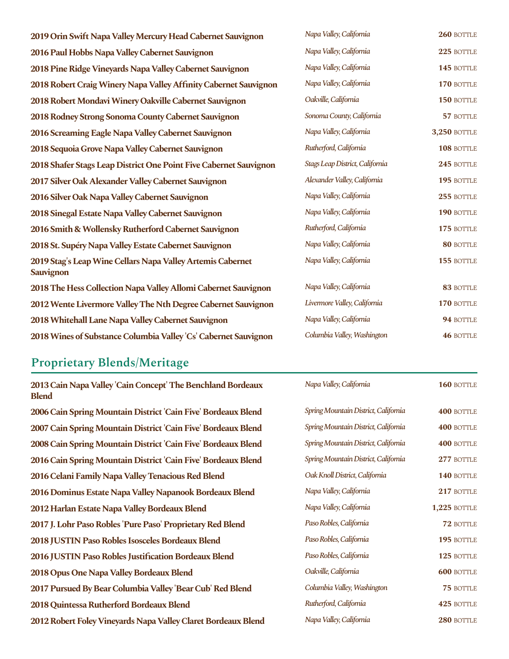| 2019 Orin Swift Napa Valley Mercury Head Cabernet Sauvignon                    | Napa Valley, California         | 260 BOTTLE       |
|--------------------------------------------------------------------------------|---------------------------------|------------------|
| 2016 Paul Hobbs Napa Valley Cabernet Sauvignon                                 | Napa Valley, California         | 225 BOTTLE       |
| 2018 Pine Ridge Vineyards Napa Valley Cabernet Sauvignon                       | Napa Valley, California         | 145 BOTTLE       |
| 2018 Robert Craig Winery Napa Valley Affinity Cabernet Sauvignon               | Napa Valley, California         | 170 BOTTLE       |
| 2018 Robert Mondavi Winery Oakville Cabernet Sauvignon                         | Oakville, California            | 150 BOTTLE       |
| 2018 Rodney Strong Sonoma County Cabernet Sauvignon                            | Sonoma County, California       | 57 BOTTLE        |
| 2016 Screaming Eagle Napa Valley Cabernet Sauvignon                            | Napa Valley, California         | 3,250 BOTTLE     |
| 2018 Sequoia Grove Napa Valley Cabernet Sauvignon                              | Rutherford, California          | 108 BOTTLE       |
| 2018 Shafer Stags Leap District One Point Five Cabernet Sauvignon              | Stags Leap District, California | 245 BOTTLE       |
| 2017 Silver Oak Alexander Valley Cabernet Sauvignon                            | Alexander Valley, California    | 195 BOTTLE       |
| 2016 Silver Oak Napa Valley Cabernet Sauvignon                                 | Napa Valley, California         | 255 BOTTLE       |
| 2018 Sinegal Estate Napa Valley Cabernet Sauvignon                             | Napa Valley, California         | 190 BOTTLE       |
| 2016 Smith & Wollensky Rutherford Cabernet Sauvignon                           | Rutherford, California          | 175 BOTTLE       |
| 2018 St. Supéry Napa Valley Estate Cabernet Sauvignon                          | Napa Valley, California         | 80 BOTTLE        |
| 2019 Stag's Leap Wine Cellars Napa Valley Artemis Cabernet<br><b>Sauvignon</b> | Napa Valley, California         | 155 BOTTLE       |
| 2018 The Hess Collection Napa Valley Allomi Cabernet Sauvignon                 | Napa Valley, California         | 83 BOTTLE        |
| 2012 Wente Livermore Valley The Nth Degree Cabernet Sauvignon                  | Livermore Valley, California    | 170 BOTTLE       |
| 2018 Whitehall Lane Napa Valley Cabernet Sauvignon                             | Napa Valley, California         | 94 BOTTLE        |
| 2018 Wines of Substance Columbia Valley 'Cs' Cabernet Sauvignon                | Columbia Valley, Washington     | <b>46 BOTTLE</b> |

# **Proprietary Blends/Meritage**

| 2013 Cain Napa Valley 'Cain Concept' The Benchland Bordeaux<br><b>Blend</b> | Napa Valley, California              | 160 BOTTLE          |
|-----------------------------------------------------------------------------|--------------------------------------|---------------------|
| 2006 Cain Spring Mountain District 'Cain Five' Bordeaux Blend               | Spring Mountain District, California | 400 BOTTLE          |
| 2007 Cain Spring Mountain District 'Cain Five' Bordeaux Blend               | Spring Mountain District, California | 400 BOTTLE          |
| 2008 Cain Spring Mountain District 'Cain Five' Bordeaux Blend               | Spring Mountain District, California | 400 BOTTLE          |
| 2016 Cain Spring Mountain District 'Cain Five' Bordeaux Blend               | Spring Mountain District, California | 277 BOTTLE          |
| 2016 Celani Family Napa Valley Tenacious Red Blend                          | Oak Knoll District, California       | 140 BOTTLE          |
| 2016 Dominus Estate Napa Valley Napanook Bordeaux Blend                     | Napa Valley, California              | 217 BOTTLE          |
| 2012 Harlan Estate Napa Valley Bordeaux Blend                               | Napa Valley, California              | <b>1,225 BOTTLE</b> |
| 2017 J. Lohr Paso Robles 'Pure Paso' Proprietary Red Blend                  | Paso Robles, California              | 72 BOTTLE           |
| 2018 JUSTIN Paso Robles Isosceles Bordeaux Blend                            | Paso Robles, California              | 195 BOTTLE          |
| 2016 JUSTIN Paso Robles Justification Bordeaux Blend                        | Paso Robles, California              | 125 BOTTLE          |
| 2018 Opus One Napa Valley Bordeaux Blend                                    | Oakville, California                 | <b>600 BOTTLE</b>   |
| 2017 Pursued By Bear Columbia Valley 'Bear Cub' Red Blend                   | Columbia Valley, Washington          | 75 BOTTLE           |
| 2018 Quintessa Rutherford Bordeaux Blend                                    | Rutherford, California               | 425 BOTTLE          |
| 2012 Robert Foley Vineyards Napa Valley Claret Bordeaux Blend               | Napa Valley, California              | 280 BOTTLE          |
|                                                                             |                                      |                     |

| Napa Valley, California              | 160 BOTTLE          |
|--------------------------------------|---------------------|
| Spring Mountain District, California | 400 BOTTLE          |
| Spring Mountain District, California | 400 BOTTLE          |
| Spring Mountain District, California | 400 BOTTLE          |
| Spring Mountain District, California | 277 BOTTLE          |
| Oak Knoll District, California       | 140 BOTTLE          |
| Napa Valley, California              | 217 BOTTLE          |
| Napa Valley, California              | <b>1,225 BOTTLE</b> |
| Paso Robles, California              | $72$ bottle         |
| Paso Robles, California              | 195 BOTTLE          |
| Paso Robles, California              | 125 BOTTLE          |
| Oakville, California                 | <b>600 BOTTLE</b>   |
| Columbia Valley, Washington          | <b>75 BOTTLE</b>    |
| Rutherford, California               | 425 BOTTLE          |
| Napa Valley, California              | 280 BOTTLE          |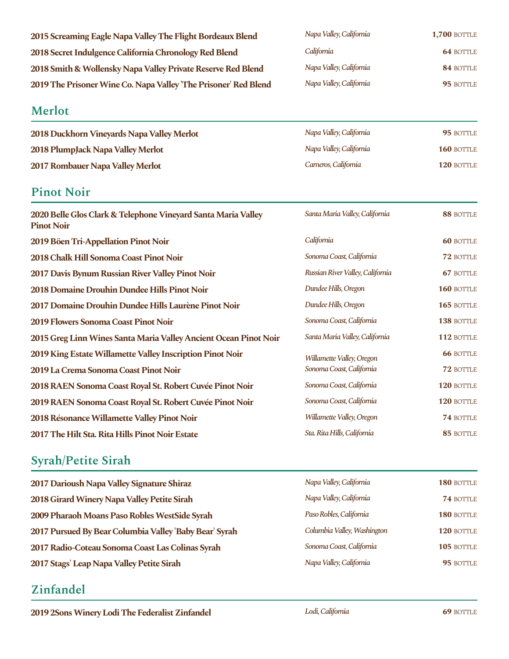| 2015 Screaming Eagle Napa Valley The Flight Bordeaux Blend      | Napa Valley, California | <b>1,700 BOTTLE</b> |
|-----------------------------------------------------------------|-------------------------|---------------------|
| 2018 Secret Indulgence California Chronology Red Blend          | California              | <b>64 BOTTLE</b>    |
| 2018 Smith & Wollensky Napa Valley Private Reserve Red Blend    | Napa Valley, California | 84 BOTTLE           |
| 2019 The Prisoner Wine Co. Napa Valley 'The Prisoner' Red Blend | Napa Valley, California | 95 BOTTLE           |

#### **Merlot**

**2018 Duckhorn Vineyards Napa Valley Merlot 2018 PlumpJack Napa Valley Merlot 2017 Rombauer Napa Valley Merlot** 

#### **Pinot Noir**

| Napa Valley, California | <b>1,700 BOTTLE</b> |
|-------------------------|---------------------|
| California              | <b>64 BOTTLE</b>    |
| Napa Valley, California | 84 BOTTLE           |
| Napa Valley, California | 95 BOTTLE           |

| Napa Valley, California | 95 BOTTLE         |
|-------------------------|-------------------|
| Napa Valley, California | <b>160 BOTTLE</b> |
| Carneros, California    | 120 BOTTLE        |

| 2020 Belle Glos Clark & Telephone Vineyard Santa Maria Valley<br><b>Pinot Noir</b> | Santa Maria Valley, California   | 88 BOTTLE        |
|------------------------------------------------------------------------------------|----------------------------------|------------------|
| 2019 Böen Tri-Appellation Pinot Noir                                               | California                       | <b>60 BOTTLE</b> |
| 2018 Chalk Hill Sonoma Coast Pinot Noir                                            | Sonoma Coast, California         | 72 BOTTLE        |
| 2017 Davis Bynum Russian River Valley Pinot Noir                                   | Russian River Valley, California | <b>67 BOTTLE</b> |
| 2018 Domaine Drouhin Dundee Hills Pinot Noir                                       | Dundee Hills, Oregon             | 160 BOTTLE       |
| 2017 Domaine Drouhin Dundee Hills Laurène Pinot Noir                               | Dundee Hills, Oregon             | 165 BOTTLE       |
| 2019 Flowers Sonoma Coast Pinot Noir                                               | Sonoma Coast, California         | 138 BOTTLE       |
| 2015 Greg Linn Wines Santa Maria Valley Ancient Ocean Pinot Noir                   | Santa Maria Valley, California   | 112 BOTTLE       |
| 2019 King Estate Willamette Valley Inscription Pinot Noir                          | Willamette Valley, Oregon        | <b>66 BOTTLE</b> |
| 2019 La Crema Sonoma Coast Pinot Noir                                              | Sonoma Coast, California         | 72 BOTTLE        |
| 2018 RAEN Sonoma Coast Royal St. Robert Cuvée Pinot Noir                           | Sonoma Coast, California         | 120 BOTTLE       |
| 2019 RAEN Sonoma Coast Royal St. Robert Cuvée Pinot Noir                           | Sonoma Coast, California         | 120 BOTTLE       |
| 2018 Résonance Willamette Valley Pinot Noir                                        | Willamette Valley, Oregon        | 74 BOTTLE        |
| 2017 The Hilt Sta. Rita Hills Pinot Noir Estate                                    | Sta. Rita Hills, California      | 85 BOTTLE        |

### **Syrah/Petite Sirah**

| 2017 Darioush Napa Valley Signature Shiraz             | Napa Valley, California     | 180 BOTTLE |
|--------------------------------------------------------|-----------------------------|------------|
| 2018 Girard Winery Napa Valley Petite Sirah            | Napa Valley, California     | 74 BOTTLE  |
| 2009 Pharaoh Moans Paso Robles WestSide Syrah          | Paso Robles, California     | 180 BOTTLE |
| 2017 Pursued By Bear Columbia Valley 'Baby Bear' Syrah | Columbia Valley, Washington | 120 BOTTLE |
| 2017 Radio-Coteau Sonoma Coast Las Colinas Syrah       | Sonoma Coast, California    | 105 BOTTLE |
| 2017 Stags' Leap Napa Valley Petite Sirah              | Napa Valley, California     | 95 BOTTLE  |

### **Zinfandel**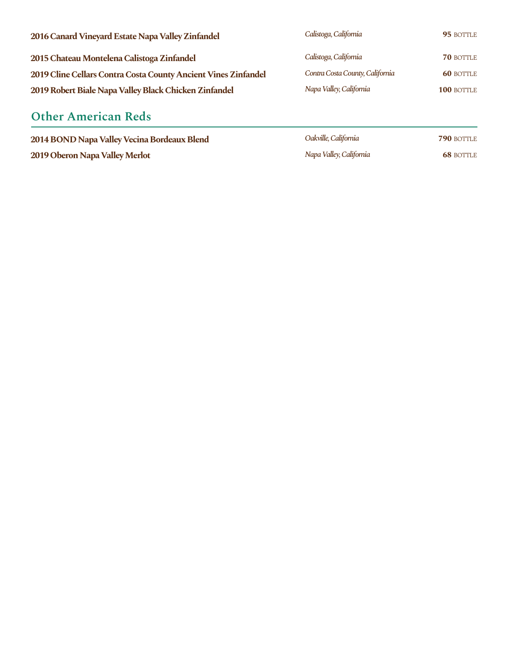| 2016 Canard Vineyard Estate Napa Valley Zinfandel              | Calistoga, California           | 95 BOTTLE        |
|----------------------------------------------------------------|---------------------------------|------------------|
| 2015 Chateau Montelena Calistoga Zinfandel                     | Calistoga, California           | <b>70 BOTTLE</b> |
| 2019 Cline Cellars Contra Costa County Ancient Vines Zinfandel | Contra Costa County, California | <b>60 BOTTLE</b> |
| 2019 Robert Biale Napa Valley Black Chicken Zinfandel          | Napa Valley, California         | 100 BOTTLE       |
|                                                                |                                 |                  |

# **Other American Reds**

**2019 Oberon Napa Valley Merlot 68** BOTTLE

| 2014 BOND Napa Valley Vecina Bordeaux Blend | Oakville, California    | <b>790 BOTTLE</b> |
|---------------------------------------------|-------------------------|-------------------|
| 2019 Oberon Napa Valley Merlot              | Napa Valley, California | <b>68 BOTTLE</b>  |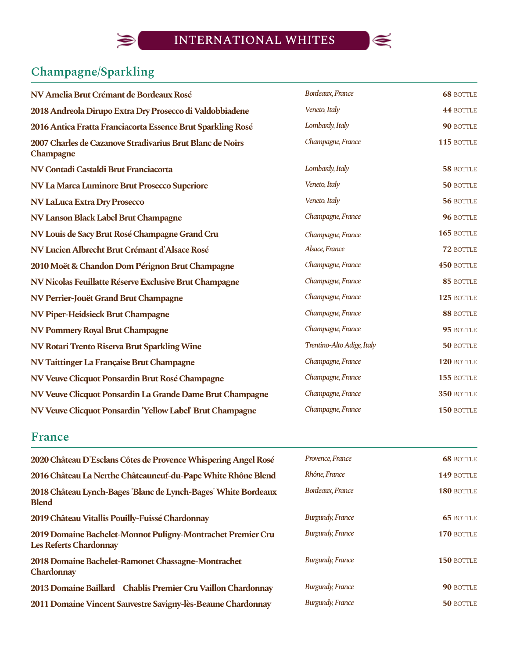

# **Champagne/Sparkling**

 $\bigcirc$ 

| NV Amelia Brut Crémant de Bordeaux Rosé                                | Bordeaux, France           | <b>68 BOTTLE</b> |
|------------------------------------------------------------------------|----------------------------|------------------|
| 2018 Andreola Dirupo Extra Dry Prosecco di Valdobbiadene               | Veneto, Italy              | 44 BOTTLE        |
| 2016 Antica Fratta Franciacorta Essence Brut Sparkling Rosé            | Lombardy, Italy            | 90 BOTTLE        |
| 2007 Charles de Cazanove Stradivarius Brut Blanc de Noirs<br>Champagne | Champagne, France          | 115 BOTTLE       |
| NV Contadi Castaldi Brut Franciacorta                                  | Lombardy, Italy            | 58 BOTTLE        |
| NV La Marca Luminore Brut Prosecco Superiore                           | Veneto, Italy              | 50 BOTTLE        |
| <b>NV LaLuca Extra Dry Prosecco</b>                                    | Veneto, Italy              | 56 BOTTLE        |
| NV Lanson Black Label Brut Champagne                                   | Champagne, France          | 96 BOTTLE        |
| NV Louis de Sacy Brut Rosé Champagne Grand Cru                         | Champagne, France          | 165 BOTTLE       |
| NV Lucien Albrecht Brut Crémant d'Alsace Rosé                          | Alsace, France             | 72 BOTTLE        |
| 2010 Moët & Chandon Dom Pérignon Brut Champagne                        | Champagne, France          | 450 BOTTLE       |
| NV Nicolas Feuillatte Réserve Exclusive Brut Champagne                 | Champagne, France          | 85 BOTTLE        |
| NV Perrier-Jouët Grand Brut Champagne                                  | Champagne, France          | 125 BOTTLE       |
| <b>NV Piper-Heidsieck Brut Champagne</b>                               | Champagne, France          | 88 BOTTLE        |
| NV Pommery Royal Brut Champagne                                        | Champagne, France          | 95 BOTTLE        |
| NV Rotari Trento Riserva Brut Sparkling Wine                           | Trentino-Alto Adige, Italy | 50 BOTTLE        |
| NV Taittinger La Française Brut Champagne                              | Champagne, France          | 120 BOTTLE       |
| NV Veuve Clicquot Ponsardin Brut Rosé Champagne                        | Champagne, France          | 155 BOTTLE       |
| NV Veuve Clicquot Ponsardin La Grande Dame Brut Champagne              | Champagne, France          | 350 BOTTLE       |
| NV Veuve Clicquot Ponsardin 'Yellow Label' Brut Champagne              | Champagne, France          | 150 BOTTLE       |

#### **France**

| 2020 Château D'Esclans Côtes de Provence Whispering Angel Rosé                               | Provence, France        | <b>68 BOTTLE</b> |
|----------------------------------------------------------------------------------------------|-------------------------|------------------|
| 2016 Château La Nerthe Châteauneuf-du-Pape White Rhône Blend                                 | Rhône, France           | 149 BOTTLE       |
| 2018 Château Lynch-Bages 'Blanc de Lynch-Bages' White Bordeaux<br><b>Blend</b>               | Bordeaux, France        | 180 BOTTLE       |
| 2019 Château Vitallis Pouilly-Fuissé Chardonnay                                              | <b>Burgundy, France</b> | <b>65 BOTTLE</b> |
| 2019 Domaine Bachelet-Monnot Puligny-Montrachet Premier Cru<br><b>Les Referts Chardonnay</b> | <b>Burgundy, France</b> | 170 BOTTLE       |
| 2018 Domaine Bachelet-Ramonet Chassagne-Montrachet<br>Chardonnay                             | <b>Burgundy, France</b> | 150 BOTTLE       |
| 2013 Domaine Baillard Chablis Premier Cru Vaillon Chardonnay                                 | <b>Burgundy, France</b> | 90 BOTTLE        |
| 2011 Domaine Vincent Sauvestre Savigny-lès-Beaune Chardonnay                                 | <b>Burgundy, France</b> | 50 BOTTLE        |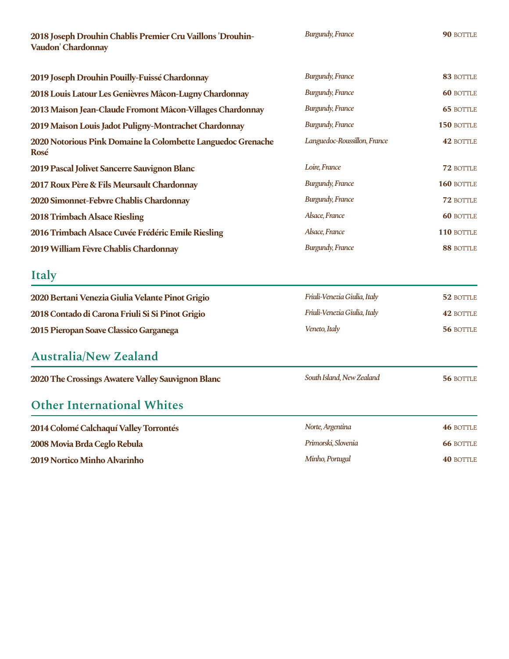**2018JosephDrouhinChablisPremierCruVaillons 'Drouhin- Vaudon'Chardonnay**

*Burgundy,France*

**90** BOTTLE

| 2019 Joseph Drouhin Pouilly-Fuissé Chardonnay                        | <b>Burgundy, France</b>      | 83 BOTTLE        |
|----------------------------------------------------------------------|------------------------------|------------------|
| 2018 Louis Latour Les Genièvres Mâcon-Lugny Chardonnay               | <b>Burgundy, France</b>      | <b>60 BOTTLE</b> |
| 2013 Maison Jean-Claude Fromont Mâcon-Villages Chardonnay            | <b>Burgundy, France</b>      | <b>65 BOTTLE</b> |
| 2019 Maison Louis Jadot Puligny-Montrachet Chardonnay                | <b>Burgundy, France</b>      | 150 BOTTLE       |
| 2020 Notorious Pink Domaine la Colombette Languedoc Grenache<br>Rosé | Languedoc-Roussillon, France | 42 BOTTLE        |
| 2019 Pascal Jolivet Sancerre Sauvignon Blanc                         | Loire, France                | 72 BOTTLE        |
| 2017 Roux Père & Fils Meursault Chardonnay                           | <b>Burgundy, France</b>      | 160 BOTTLE       |
| 2020 Simonnet-Febvre Chablis Chardonnay                              | <b>Burgundy, France</b>      | 72 BOTTLE        |
| 2018 Trimbach Alsace Riesling                                        | Alsace, France               | <b>60 BOTTLE</b> |
| 2016 Trimbach Alsace Cuvée Frédéric Emile Riesling                   | Alsace, France               | 110 BOTTLE       |
| 2019 William Fèvre Chablis Chardonnay                                | <b>Burgundy, France</b>      | 88 BOTTLE        |
|                                                                      |                              |                  |

### **Italy**

| 2020 Bertani Venezia Giulia Velante Pinot Grigio | Friuli-Venezia Giulia, Italy | 52 BOTTLE |
|--------------------------------------------------|------------------------------|-----------|
| 2018 Contado di Carona Friuli Si Si Pinot Grigio | Friuli-Venezia Giulia, Italy | 42 BOTTLE |
| 2015 Pieropan Soave Classico Garganega           | Veneto, Italy                | 56 BOTTLE |

### **Australia/New Zealand**

| 2020 The Crossings Awatere Valley Sauvignon Blanc | South Island, New Zealand | 56 BOTTLE |
|---------------------------------------------------|---------------------------|-----------|
|---------------------------------------------------|---------------------------|-----------|

#### **Other International Whites**

| 2014 Colomé Calchaquí Valley Torrontés | Norte, Argentina    | <b>46 BOTTLE</b> |
|----------------------------------------|---------------------|------------------|
| 2008 Movia Brda Ceglo Rebula           | Primorski, Slovenia | <b>66 BOTTLE</b> |
| 2019 Nortico Minho Alvarinho           | Minho, Portugal     | <b>40 BOTTLE</b> |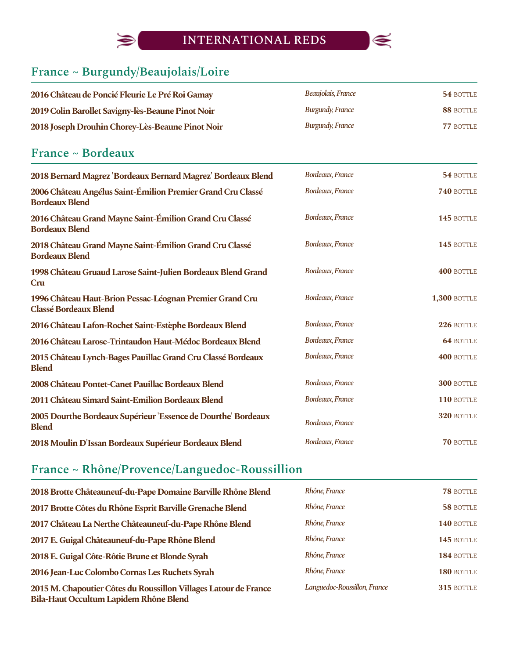

# **France ~ Burgundy/Beaujolais/Loire**

 $\bigcirc$ 

| 2016 Château de Poncié Fleurie Le Pré Roi Gamay   | Beaujolais, France | 54 BOTTLE |
|---------------------------------------------------|--------------------|-----------|
| 2019 Colin Barollet Savigny-lès-Beaune Pinot Noir | Burgundy, France   | 88 BOTTLE |
| 2018 Joseph Drouhin Chorey-Lès-Beaune Pinot Noir  | Burgundy, France   | 77 BOTTLE |

# **France ~ Bordeaux**

| 2018 Bernard Magrez 'Bordeaux Bernard Magrez' Bordeaux Blend                             | Bordeaux, France | 54 BOTTLE           |
|------------------------------------------------------------------------------------------|------------------|---------------------|
| 2006 Château Angélus Saint-Émilion Premier Grand Cru Classé<br><b>Bordeaux Blend</b>     | Bordeaux, France | 740 BOTTLE          |
| 2016 Château Grand Mayne Saint-Émilion Grand Cru Classé<br><b>Bordeaux Blend</b>         | Bordeaux, France | 145 BOTTLE          |
| 2018 Château Grand Mayne Saint-Émilion Grand Cru Classé<br><b>Bordeaux Blend</b>         | Bordeaux, France | 145 BOTTLE          |
| 1998 Château Gruaud Larose Saint-Julien Bordeaux Blend Grand<br>Cru                      | Bordeaux, France | 400 BOTTLE          |
| 1996 Château Haut-Brion Pessac-Léognan Premier Grand Cru<br><b>Classé Bordeaux Blend</b> | Bordeaux, France | <b>1,300 BOTTLE</b> |
| 2016 Château Lafon-Rochet Saint-Estèphe Bordeaux Blend                                   | Bordeaux, France | 226 BOTTLE          |
| 2016 Château Larose-Trintaudon Haut-Médoc Bordeaux Blend                                 | Bordeaux, France | <b>64 BOTTLE</b>    |
| 2015 Château Lynch-Bages Pauillac Grand Cru Classé Bordeaux<br><b>Blend</b>              | Bordeaux, France | 400 BOTTLE          |
| 2008 Château Pontet-Canet Pauillac Bordeaux Blend                                        | Bordeaux, France | <b>300 BOTTLE</b>   |
| 2011 Château Simard Saint-Emilion Bordeaux Blend                                         | Bordeaux, France | 110 BOTTLE          |
| 2005 Dourthe Bordeaux Supérieur 'Essence de Dourthe' Bordeaux<br><b>Blend</b>            | Bordeaux, France | 320 BOTTLE          |
| 2018 Moulin D'Issan Bordeaux Supérieur Bordeaux Blend                                    | Bordeaux, France | <b>70 BOTTLE</b>    |

# **France ~ Rhône/Provence/Languedoc-Roussillion**

| 2018 Brotte Châteauneuf-du-Pape Domaine Barville Rhône Blend                                               | Rhône, France                | <b>78 BOTTLE</b> |
|------------------------------------------------------------------------------------------------------------|------------------------------|------------------|
| 2017 Brotte Côtes du Rhône Esprit Barville Grenache Blend                                                  | Rhône, France                | 58 BOTTLE        |
| 2017 Château La Nerthe Châteauneuf-du-Pape Rhône Blend                                                     | Rhône, France                | 140 BOTTLE       |
| 2017 E. Guigal Châteauneuf-du-Pape Rhône Blend                                                             | Rhône, France                | 145 BOTTLE       |
| 2018 E. Guigal Côte-Rôtie Brune et Blonde Syrah                                                            | Rhône, France                | 184 BOTTLE       |
| 2016 Jean-Luc Colombo Cornas Les Ruchets Syrah                                                             | Rhône, France                | 180 BOTTLE       |
| 2015 M. Chapoutier Côtes du Roussillon Villages Latour de France<br>Bila-Haut Occultum Lapidem Rhône Blend | Languedoc-Roussillon, France | 315 BOTTLE       |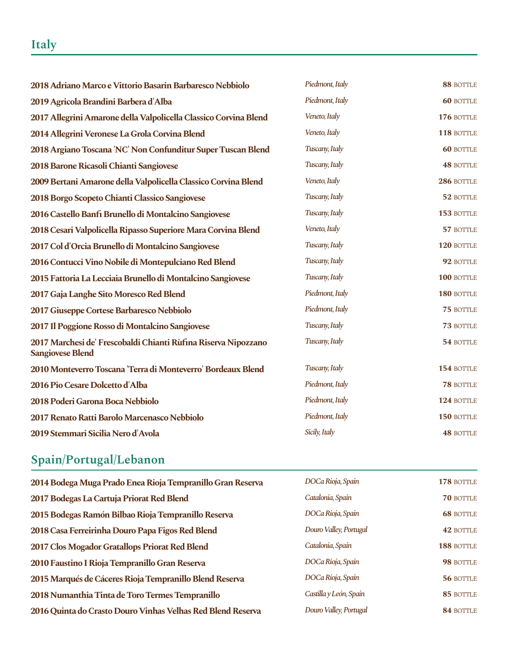# **Italy**

| 2018 Adriano Marco e Vittorio Basarin Barbaresco Nebbiolo                                 | Piedmont, Italy | 88 BOTTLE        |
|-------------------------------------------------------------------------------------------|-----------------|------------------|
| 2019 Agricola Brandini Barbera d'Alba                                                     | Piedmont, Italy | <b>60 BOTTLE</b> |
| 2017 Allegrini Amarone della Valpolicella Classico Corvina Blend                          | Veneto, Italy   | 176 BOTTLE       |
| 2014 Allegrini Veronese La Grola Corvina Blend                                            | Veneto, Italy   | 118 BOTTLE       |
| 2018 Argiano Toscana 'NC' Non Confunditur Super Tuscan Blend                              | Tuscany, Italy  | <b>60 BOTTLE</b> |
| 2018 Barone Ricasoli Chianti Sangiovese                                                   | Tuscany, Italy  | <b>48 BOTTLE</b> |
| 2009 Bertani Amarone della Valpolicella Classico Corvina Blend                            | Veneto, Italy   | 286 BOTTLE       |
| 2018 Borgo Scopeto Chianti Classico Sangiovese                                            | Tuscany, Italy  | 52 BOTTLE        |
| 2016 Castello Banfi Brunello di Montalcino Sangiovese                                     | Tuscany, Italy  | 153 BOTTLE       |
| 2018 Cesari Valpolicella Ripasso Superiore Mara Corvina Blend                             | Veneto, Italy   | 57 BOTTLE        |
| 2017 Col d'Orcia Brunello di Montalcino Sangiovese                                        | Tuscany, Italy  | 120 BOTTLE       |
| 2016 Contucci Vino Nobile di Montepulciano Red Blend                                      | Tuscany, Italy  | 92 BOTTLE        |
| 2015 Fattoria La Lecciaia Brunello di Montalcino Sangiovese                               | Tuscany, Italy  | 100 BOTTLE       |
| 2017 Gaja Langhe Sito Moresco Red Blend                                                   | Piedmont, Italy | 180 BOTTLE       |
| 2017 Giuseppe Cortese Barbaresco Nebbiolo                                                 | Piedmont, Italy | 75 BOTTLE        |
| 2017 Il Poggione Rosso di Montalcino Sangiovese                                           | Tuscany, Italy  | 73 BOTTLE        |
| 2017 Marchesi de' Frescobaldi Chianti Rùfina Riserva Nipozzano<br><b>Sangiovese Blend</b> | Tuscany, Italy  | 54 BOTTLE        |
| 2010 Monteverro Toscana 'Terra di Monteverro' Bordeaux Blend                              | Tuscany, Italy  | 154 BOTTLE       |
| 2016 Pio Cesare Dolcetto d'Alba                                                           | Piedmont, Italy | 78 BOTTLE        |
| 2018 Poderi Garona Boca Nebbiolo                                                          | Piedmont, Italy | 124 BOTTLE       |
| 2017 Renato Ratti Barolo Marcenasco Nebbiolo                                              | Piedmont, Italy | 150 BOTTLE       |
| 2019 Stemmari Sicilia Nero d'Avola                                                        | Sicily, Italy   | <b>48 BOTTLE</b> |

# **Spain/Portugal/Lebanon**

| 2014 Bodega Muga Prado Enea Rioja Tempranillo Gran Reserva  | DOCa Rioja, Spain      | 178 BOTTLE       |
|-------------------------------------------------------------|------------------------|------------------|
| 2017 Bodegas La Cartuja Priorat Red Blend                   | Catalonia, Spain       | <b>70 BOTTLE</b> |
| 2015 Bodegas Ramón Bilbao Rioja Tempranillo Reserva         | DOCa Rioja, Spain      | <b>68 BOTTLE</b> |
| 2018 Casa Ferreirinha Douro Papa Figos Red Blend            | Douro Valley, Portugal | 42 BOTTLE        |
| 2017 Clos Mogador Gratallops Priorat Red Blend              | Catalonia, Spain       | 188 BOTTLE       |
| 2010 Faustino I Rioja Tempranillo Gran Reserva              | DOCa Rioja, Spain      | 98 BOTTLE        |
| 2015 Marqués de Cáceres Rioja Tempranillo Blend Reserva     | DOCa Rioja, Spain      | 56 BOTTLE        |
| 2018 Numanthia Tinta de Toro Termes Tempranillo             | Castilla y León, Spain | 85 BOTTLE        |
| 2016 Quinta do Crasto Douro Vinhas Velhas Red Blend Reserva | Douro Valley, Portugal | 84 BOTTLE        |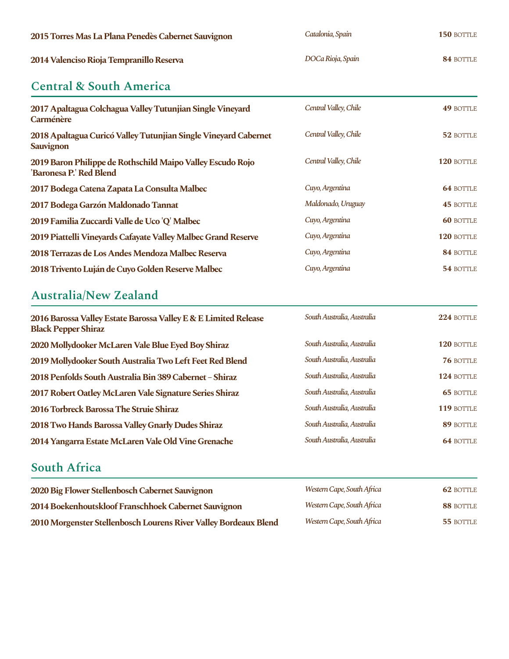| 2015 Torres Mas La Plana Penedès Cabernet Sauvignon                                   | Catalonia, Spain      | 150 BOTTLE       |
|---------------------------------------------------------------------------------------|-----------------------|------------------|
| 2014 Valenciso Rioja Tempranillo Reserva                                              | DOCa Rioja, Spain     | 84 BOTTLE        |
| <b>Central &amp; South America</b>                                                    |                       |                  |
| 2017 Apaltagua Colchagua Valley Tutunjian Single Vineyard<br>Carménère                | Central Valley, Chile | <b>49 BOTTLE</b> |
| 2018 Apaltagua Curicó Valley Tutunjian Single Vineyard Cabernet<br><b>Sauvignon</b>   | Central Valley, Chile | 52 BOTTLE        |
| 2019 Baron Philippe de Rothschild Maipo Valley Escudo Rojo<br>'Baronesa P.' Red Blend | Central Valley, Chile | 120 BOTTLE       |
| 2017 Bodega Catena Zapata La Consulta Malbec                                          | Cuyo, Argentina       | <b>64 BOTTLE</b> |
| 2017 Bodega Garzón Maldonado Tannat                                                   | Maldonado, Uruguay    | <b>45 BOTTLE</b> |
| 2019 Familia Zuccardi Valle de Uco 'Q' Malbec                                         | Cuyo, Argentina       | <b>60 BOTTLE</b> |
| 2019 Piattelli Vineyards Cafayate Valley Malbec Grand Reserve                         | Cuyo, Argentina       | 120 BOTTLE       |
| 2018 Terrazas de Los Andes Mendoza Malbec Reserva                                     | Cuyo, Argentina       | 84 BOTTLE        |
| 2018 Trivento Luján de Cuyo Golden Reserve Malbec                                     | Cuyo, Argentina       | 54 BOTTLE        |

# **Australia/New Zealand**

| 2016 Barossa Valley Estate Barossa Valley E & E Limited Release<br><b>Black Pepper Shiraz</b> | South Australia, Australia | 224 BOTTLE       |
|-----------------------------------------------------------------------------------------------|----------------------------|------------------|
| 2020 Mollydooker McLaren Vale Blue Eyed Boy Shiraz                                            | South Australia, Australia | 120 BOTTLE       |
| 2019 Mollydooker South Australia Two Left Feet Red Blend                                      | South Australia, Australia | <b>76 BOTTLE</b> |
| 2018 Penfolds South Australia Bin 389 Cabernet - Shiraz                                       | South Australia, Australia | 124 BOTTLE       |
| 2017 Robert Oatley McLaren Vale Signature Series Shiraz                                       | South Australia, Australia | <b>65 BOTTLE</b> |
| 2016 Torbreck Barossa The Struie Shiraz                                                       | South Australia, Australia | 119 BOTTLE       |
| 2018 Two Hands Barossa Valley Gnarly Dudes Shiraz                                             | South Australia, Australia | 89 BOTTLE        |
| 2014 Yangarra Estate McLaren Vale Old Vine Grenache                                           | South Australia, Australia | <b>64 BOTTLE</b> |

# **South Africa**

| 2020 Big Flower Stellenbosch Cabernet Sauvignon                  | Western Cape, South Africa | 62 BOTTLE |
|------------------------------------------------------------------|----------------------------|-----------|
| 2014 Boekenhoutskloof Franschhoek Cabernet Sauvignon             | Western Cape, South Africa | 88 BOTTLE |
| 2010 Morgenster Stellenbosch Lourens River Valley Bordeaux Blend | Western Cape, South Africa | 55 BOTTLE |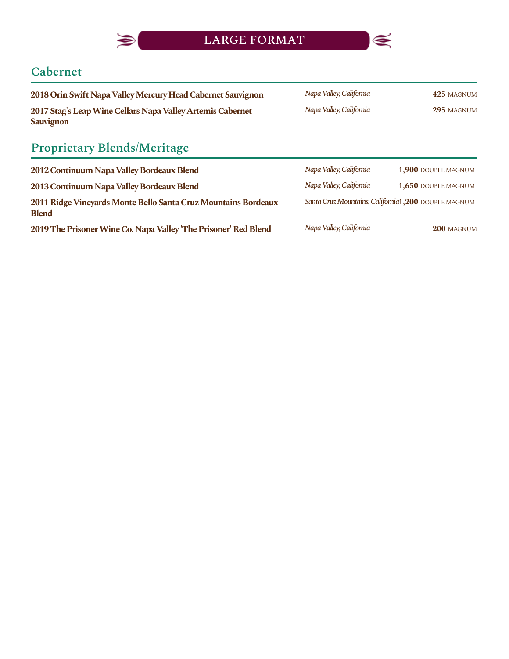

LARGE FORMAT



# **Cabernet**

| 2018 Orin Swift Napa Valley Mercury Head Cabernet Sauvignon                    | Napa Valley, California | 425 MAGNUM |
|--------------------------------------------------------------------------------|-------------------------|------------|
| 2017 Stag's Leap Wine Cellars Napa Valley Artemis Cabernet<br><b>Sauvignon</b> | Napa Valley, California | 295 MAGNUM |

# **Proprietary Blends/Meritage**

| 2012 Continuum Napa Valley Bordeaux Blend                                      | Napa Valley, California                              | 1,900 DOUBLE MAGNUM |
|--------------------------------------------------------------------------------|------------------------------------------------------|---------------------|
| 2013 Continuum Napa Valley Bordeaux Blend                                      | Napa Valley, California                              | 1,650 DOUBLE MAGNUM |
| 2011 Ridge Vineyards Monte Bello Santa Cruz Mountains Bordeaux<br><b>Blend</b> | Santa Cruz Mountains, California1, 200 DOUBLE MAGNUM |                     |
| 2019 The Prisoner Wine Co. Napa Valley 'The Prisoner' Red Blend                | Napa Valley, California                              | 200 MAGNUM          |